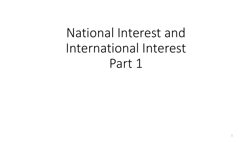# National Interest and International Interest Part 1

1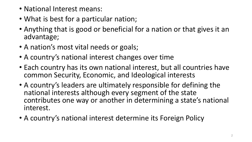- National Interest means:
- What is best for a particular nation;
- Anything that is good or beneficial for a nation or that gives it an advantage;
- A nation's most vital needs or goals;
- A country's national interest changes over time
- Each country has its own national interest, but all countries have common Security, Economic, and Ideological interests
- A country's leaders are ultimately responsible for defining the national interests although every segment of the state contributes one way or another in determining a state's national interest.
- A country's national interest determine its Foreign Policy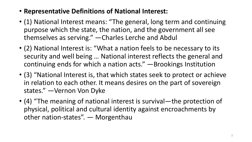- **Representative Definitions of National Interest:**
- (1) National Interest means: "The general, long term and continuing purpose which the state, the nation, and the government all see themselves as serving." —Charles Lerche and Abdul
- (2) National Interest is: "What a nation feels to be necessary to its security and well being … National interest reflects the general and continuing ends for which a nation acts." —Brookings Institution
- (3) "National Interest is, that which states seek to protect or achieve in relation to each other. It means desires on the part of sovereign states." —Vernon Von Dyke
- (4) "The meaning of national interest is survival—the protection of physical, political and cultural identity against encroachments by other nation-states". — Morgenthau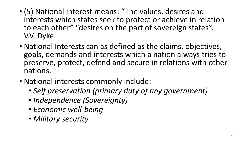- (5) National Interest means: "The values, desires and interests which states seek to protect or achieve in relation to each other" "desires on the part of sovereign states". — V.V. Dyke
- National Interests can as defined as the claims, objectives, goals, demands and interests which a nation always tries to preserve, protect, defend and secure in relations with other nations.
- National interests commonly include:
	- *Self preservation (primary duty of any government)*
	- *Independence (Sovereignty)*
	- *Economic well-being*
	- *Military security*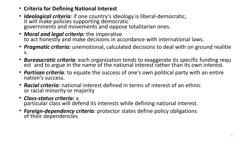- **Criteria for Defining National Interest**
- *Ideological criteria:* if one country's ideology is liberal-democratic, it will make policies supporting democratic governments and movements and oppose totalitarian ones.
- *Moral and legal criteria:* the imperative to act honestly and make decisions in accordance with international laws.
- *Pragmatic criteria:* unemotional, calculated decisions to deal with on ground realitie s.
- *Bureaucratic criteria:* each organization tends to exaggerate its specific funding requ est and to argue in the name of the national interest rather than its own interest.
- *Partisan criteria:* to equate the success of one's own political party with an entire nation's success.
- *Racial criteria:* national interest defined in terms of interest of an ethnic or racial minority or majority
- *Class-status criteria:* a particular class will defend its interests while defining national interest.
- *Foreign-dependency criteria:* protector states define policy obligations of their dependencies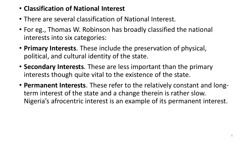- **Classification of National Interest**
- There are several classification of National Interest.
- For eg., Thomas W. Robinson has broadly classified the national interests into six categories:
- **Primary Interests**. These include the preservation of physical, political, and cultural identity of the state.
- **Secondary Interests**. These are less important than the primary interests though quite vital to the existence of the state.
- **Permanent Interests**. These refer to the relatively constant and longterm interest of the state and a change therein is rather slow. Nigeria's afrocentric interest is an example of its permanent interest.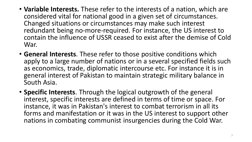- **Variable Interests.** These refer to the interests of a nation, which are considered vital for national good in a given set of circumstances. Changed situations or circumstances may make such interest redundant being no-more-required. For instance, the US interest to contain the influence of USSR ceased to exist after the demise of Cold War.
- **General Interests**. These refer to those positive conditions which apply to a large number of nations or in a several specified fields such as economics, trade, diplomatic intercourse etc. For instance it is in general interest of Pakistan to maintain strategic military balance in South Asia.
- **Specific Interests**. Through the logical outgrowth of the general interest, specific interests are defined in terms of time or space. For instance, it was in Pakistan's interest to combat terrorism in all its forms and manifestation or it was in the US interest to support other nations in combating communist insurgencies during the Cold War.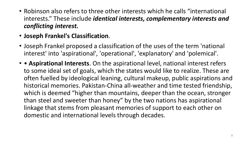- Robinson also refers to three other interests which he calls "international interests." These include *identical interests, complementary interests and conflicting interest.*
- **Joseph Frankel's Classification**.
- Joseph Frankel proposed a classification of the uses of the term 'national interest' into 'aspirational', 'operational', 'explanatory' and 'polemical'.
- • **Aspirational Interests**. On the aspirational level, national interest refers to some ideal set of goals, which the states would like to realize. These are often fuelled by ideological leaning, cultural makeup, public aspirations and historical memories. Pakistan-China all-weather and time tested friendship, which is deemed "higher than mountains, deeper than the ocean, stronger than steel and sweeter than honey" by the two nations has aspirational linkage that stems from pleasant memories of support to each other on domestic and international levels through decades.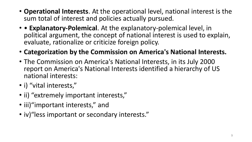- **Operational Interests**. At the operational level, national interest is the sum total of interest and policies actually pursued.
- • **Explanatory-Polemical**. At the explanatory-polemical level, in political argument, the concept of national interest is used to explain, evaluate, rationalize or criticize foreign policy.
- **Categorization by the Commission on America's National Interests.**
- The Commission on America's National Interests, in its July 2000 report on America's National Interests identified a hierarchy of US national interests:
- i) "vital interests,"
- ii) "extremely important interests,"
- iii)"important interests," and
- iv)"less important or secondary interests."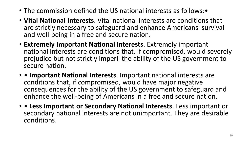- The commission defined the US national interests as follows:•
- **Vital National Interests**. Vital national interests are conditions that are strictly necessary to safeguard and enhance Americans' survival and well-being in a free and secure nation.
- **Extremely Important National Interests**. Extremely important national interests are conditions that, if compromised, would severely prejudice but not strictly imperil the ability of the US government to secure nation.
- • **Important National Interests**. Important national interests are conditions that, if compromised, would have major negative consequences for the ability of the US government to safeguard and enhance the well-being of Americans in a free and secure nation.
- • **Less Important or Secondary National Interests**. Less important or secondary national interests are not unimportant. They are desirable conditions.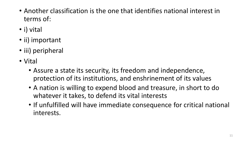- Another classification is the one that identifies national interest in terms of:
- i) vital
- ii) important
- iii) peripheral
- Vital
	- Assure a state its security, its freedom and independence, protection of its institutions, and enshrinement of its values
	- A nation is willing to expend blood and treasure, in short to do whatever it takes, to defend its vital interests
	- If unfulfilled will have immediate consequence for critical national interests.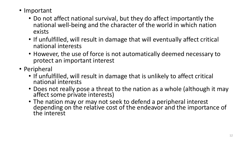- Important
	- Do not affect national survival, but they do affect importantly the national well-being and the character of the world in which nation exists
	- If unfulfilled, will result in damage that will eventually affect critical national interests
	- However, the use of force is not automatically deemed necessary to protect an important interest
- Peripheral
	- If unfulfilled, will result in damage that is unlikely to affect critical national interests
	- Does not really pose a threat to the nation as a whole (although it may affect some private interests)
	- The nation may or may not seek to defend a peripheral interest depending on the relative cost of the endeavor and the importance of the interest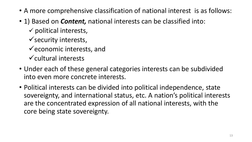- A more comprehensive classification of national interest is as follows:
- 1) Based on *Content,* national interests can be classified into:
	- $\checkmark$  political interests,
	- $\checkmark$  security interests,
	- $\checkmark$  economic interests, and
	- $\checkmark$  cultural interests
- Under each of these general categories interests can be subdivided into even more concrete interests.
- Political interests can be divided into political independence, state sovereignty, and international status, etc. A nation's political interests are the concentrated expression of all national interests, with the core being state sovereignty.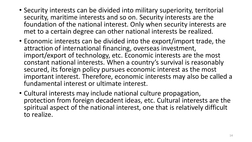- Security interests can be divided into military superiority, territorial security, maritime interests and so on. Security interests are the foundation of the national interest. Only when security interests are met to a certain degree can other national interests be realized.
- Economic interests can be divided into the export/import trade, the attraction of international financing, overseas investment, import/export of technology, etc. Economic interests are the most constant national interests. When a country's survival is reasonably secured, its foreign policy pursues economic interest as the most important interest. Therefore, economic interests may also be called a fundamental interest or ultimate interest.
- Cultural interests may include national culture propagation, protection from foreign decadent ideas, etc. Cultural interests are the spiritual aspect of the national interest, one that is relatively difficult to realize.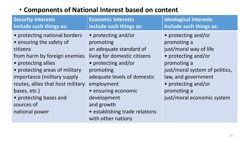#### • **Components of National Interest based on content**

| <b>Security Interests</b><br>include such things as:                                                                                                                                                                                                                                                         | <b>Economic Interests</b><br>include such things as:                                                                                                                                                                                                                                     | <b>Ideological Interests</b><br>Include such things as:                                                                                                                                                                         |
|--------------------------------------------------------------------------------------------------------------------------------------------------------------------------------------------------------------------------------------------------------------------------------------------------------------|------------------------------------------------------------------------------------------------------------------------------------------------------------------------------------------------------------------------------------------------------------------------------------------|---------------------------------------------------------------------------------------------------------------------------------------------------------------------------------------------------------------------------------|
| • protecting national borders<br>• ensuring the safety of<br>citizens<br>from harm by foreign enemies<br>• protecting allies<br>• protecting areas of military<br>importance (military supply<br>routes, allies that host military<br>bases, etc.)<br>• protecting bases and<br>sources of<br>national power | • protecting and/or<br>promoting<br>an adequate standard of<br>living for domestic citizens<br>• protecting and/or<br>promoting<br>adequate levels of domestic<br>employment<br>• ensuring economic<br>development<br>and growth<br>• establishing trade relations<br>with other nations | • protecting and/or<br>promoting a<br>just/moral way of life<br>• protecting and/or<br>promoting a<br>just/moral system of politics,<br>law, and government<br>• protecting and/or<br>promoting a<br>just/moral economic system |
|                                                                                                                                                                                                                                                                                                              |                                                                                                                                                                                                                                                                                          |                                                                                                                                                                                                                                 |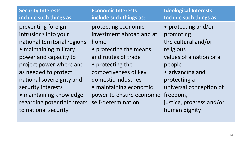| <b>Security Interests</b>                                                                                                                                                                                                                                                                                            | <b>Economic Interests</b>                                                                                                                                                                                                                               | <b>Ideological Interests</b>                                                                                                                                                                                                     |
|----------------------------------------------------------------------------------------------------------------------------------------------------------------------------------------------------------------------------------------------------------------------------------------------------------------------|---------------------------------------------------------------------------------------------------------------------------------------------------------------------------------------------------------------------------------------------------------|----------------------------------------------------------------------------------------------------------------------------------------------------------------------------------------------------------------------------------|
| include such things as:                                                                                                                                                                                                                                                                                              | include such things as:                                                                                                                                                                                                                                 | Include such things as:                                                                                                                                                                                                          |
| preventing foreign<br>intrusions into your<br>national territorial regions<br>• maintaining military<br>power and capacity to<br>project power where and<br>as needed to protect<br>national sovereignty and<br>security interests<br>• maintaining knowledge<br>regarding potential threats<br>to national security | protecting economic<br>investment abroad and at<br>home<br>• protecting the means<br>and routes of trade<br>• protecting the<br>competiveness of key<br>domestic industries<br>• maintaining economic<br>power to ensure economic<br>self-determination | • protecting and/or<br>promoting<br>the cultural and/or<br>religious<br>values of a nation or a<br>people<br>• advancing and<br>protecting a<br>universal conception of<br>freedom,<br>justice, progress and/or<br>human dignity |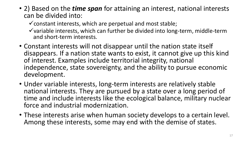• 2) Based on the *time span* for attaining an interest, national interests can be divided into:

 $\checkmark$  constant interests, which are perpetual and most stable;

- $\checkmark$  variable interests, which can further be divided into long-term, middle-term and short-term interests.
- Constant interests will not disappear until the nation state itself disappears. If a nation state wants to exist, it cannot give up this kind of interest. Examples include territorial integrity, national independence, state sovereignty, and the ability to pursue economic development.
- Under variable interests, long-term interests are relatively stable national interests. They are pursued by a state over a long period of time and include interests like the ecological balance, military nuclear force and industrial modernization.
- These interests arise when human society develops to a certain level. Among these interests, some may end with the demise of states.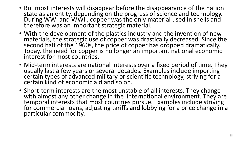- But most interests will disappear before the disappearance of the nation state as an entity, depending on the progress of science and technology. During WWI and WWII, copper was the only material used in shells and therefore was an important strategic material.
- With the development of the plastics industry and the invention of new materials, the strategic use of copper was drastically decreased. Since the second half of the 1960s, the price of copper has dropped dramatically. Today, the need for copper is no longer an important national economic interest for most countries.
- Mid-term interests are national interests over a fixed period of time. They usually last a few years or several decades. Examples include importing certain types of advanced military or scientific technology, striving for a certain kind of economic aid and so on.
- Short-term interests are the most unstable of all interests. They change with almost any other change in the international environment. They are temporal interests that most countries pursue. Examples include striving for commercial loans, adjusting tariffs and lobbying for a price change in a particular commodity.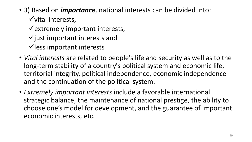- 3) Based on *importance*, national interests can be divided into:  $\checkmark$  vital interests,
	- $\checkmark$  extremely important interests,
	- $\checkmark$  just important interests and
	- $\checkmark$  less important interests
- *Vital interests* are related to people's life and security as well as to the long-term stability of a country's political system and economic life, territorial integrity, political independence, economic independence and the continuation of the political system.
- *Extremely important interests* include a favorable international strategic balance, the maintenance of national prestige, the ability to choose one's model for development, and the guarantee of important economic interests, etc.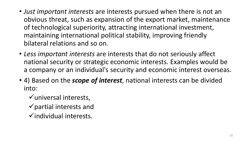- *Just important interests* are interests pursued when there is not an obvious threat, such as expansion of the export market, maintenance of technological superiority, attracting international investment, maintaining international political stability, improving friendly bilateral relations and so on.
- *Less important interests* are interests that do not seriously affect national security or strategic economic interests. Examples would be a company or an individual's security and economic interest overseas.
- 4) Based on the *scope of interest*, national interests can be divided into:
	- $\checkmark$  universal interests,
	- $\checkmark$  partial interests and
	- $\checkmark$  individual interests.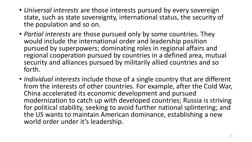- *Universal interests* are those interests pursued by every sovereign state, such as state sovereignty, international status, the security of the population and so on.
- *Partial interests* are those pursued only by some countries. They would include the international order and leadership position pursued by superpowers; dominating roles in regional affairs and regional cooperation pursued by countries in a defined area, mutual security and alliances pursued by militarily allied countries and so forth.
- *Individual interests* include those of a single country that are different from the interests of other countries. For example, after the Cold War, China accelerated its economic development and pursued modernization to catch up with developed countries; Russia is striving for political stability, seeking to avoid further national splintering; and the US wants to maintain American dominance, establishing a new world order under it's leadership.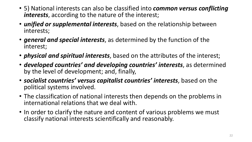- 5) National interests can also be classified into *common versus conflicting interests*, according to the nature of the interest;
- *unified or supplemental interests*, based on the relationship between interests;
- *general and special interests*, as determined by the function of the interest;
- *physical and spiritual interests*, based on the attributes of the interest;
- *developed countries' and developing countries' interests*, as determined by the level of development; and, finally,
- *socialist countries' versus capitalist countries' interests*, based on the political systems involved.
- The classification of national interests then depends on the problems in international relations that we deal with.
- In order to clarify the nature and content of various problems we must classify national interests scientifically and reasonably.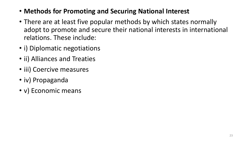- **Methods for Promoting and Securing National Interest**
- There are at least five popular methods by which states normally adopt to promote and secure their national interests in international relations. These include:
- i) Diplomatic negotiations
- ii) Alliances and Treaties
- iii) Coercive measures
- iv) Propaganda
- v) Economic means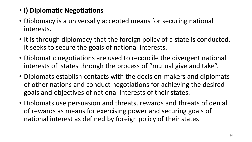## • **i) Diplomatic Negotiations**

- Diplomacy is a universally accepted means for securing national interests.
- It is through diplomacy that the foreign policy of a state is conducted. It seeks to secure the goals of national interests.
- Diplomatic negotiations are used to reconcile the divergent national interests of states through the process of "mutual give and take".
- Diplomats establish contacts with the decision-makers and diplomats of other nations and conduct negotiations for achieving the desired goals and objectives of national interests of their states.
- Diplomats use persuasion and threats, rewards and threats of denial of rewards as means for exercising power and securing goals of national interest as defined by foreign policy of their states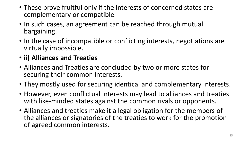- These prove fruitful only if the interests of concerned states are complementary or compatible.
- In such cases, an agreement can be reached through mutual bargaining.
- In the case of incompatible or conflicting interests, negotiations are virtually impossible.
- **ii) Alliances and Treaties**
- Alliances and Treaties are concluded by two or more states for securing their common interests.
- They mostly used for securing identical and complementary interests.
- However, even conflictual interests may lead to alliances and treaties with like-minded states against the common rivals or opponents.
- Alliances and treaties make it a legal obligation for the members of the alliances or signatories of the treaties to work for the promotion of agreed common interests.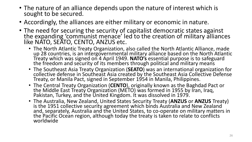- The nature of an alliance depends upon the nature of interest which is sought to be secured.
- Accordingly, the alliances are either military or economic in nature.
- The need for securing the security of capitalist democratic states against the expanding 'communist menace' led to the creation of military alliances like NATO, SEATO, CENTO, ANZUS etc.
	- The North Atlantic Treaty Organization, also called the North Atlantic Alliance, made up 28 countries, is an intergovernmental military alliance based on the North Atlantic Treaty which was signed on 4 April 1949. **NATO's** essential purpose is to safeguard the freedom and security of its members through political and military means
	- The Southeast Asia Treaty Organization (**SEATO**) was an international organization for collective defense in Southeast Asia created by the Southeast Asia Collective Defense Treaty, or Manila Pact, signed in September 1954 in Manila, Philippines.
	- The Central Treaty Organization (**CENTO**), originally known as the Baghdad Pact or the Middle East Treaty Organization (METO) was formed in 1955 by Iran, Iraq, Pakistan, Turkey, and the United Kingdom. It was dissolved in 1979.
	- The Australia, New Zealand, United States Security Treaty (**ANZUS** or **ANZUS** Treaty) is the 1951 collective security agreement which binds Australia and New Zealand and, separately, Australia and the United States, to co-operate on military matters in the Pacific Ocean region, although today the treaty is taken to relate to conflicts worldwide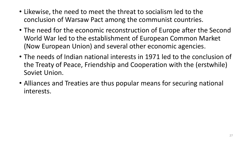- Likewise, the need to meet the threat to socialism led to the conclusion of Warsaw Pact among the communist countries.
- The need for the economic reconstruction of Europe after the Second World War led to the establishment of European Common Market (Now European Union) and several other economic agencies.
- The needs of Indian national interests in 1971 led to the conclusion of the Treaty of Peace, Friendship and Cooperation with the (erstwhile) Soviet Union.
- Alliances and Treaties are thus popular means for securing national interests.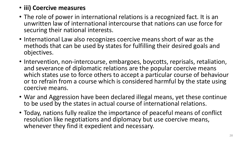#### • **iii) Coercive measures**

- The role of power in international relations is a recognized fact. It is an unwritten law of international intercourse that nations can use force for securing their national interests.
- International Law also recognizes coercive means short of war as the methods that can be used by states for fulfilling their desired goals and objectives.
- Intervention, non-intercourse, embargoes, boycotts, reprisals, retaliation, and severance of diplomatic relations are the popular coercive means which states use to force others to accept a particular course of behaviour or to refrain from a course which is considered harmful by the state using coercive means.
- War and Aggression have been declared illegal means, yet these continue to be used by the states in actual course of international relations.
- Today, nations fully realize the importance of peaceful means of conflict resolution like negotiations and diplomacy but use coercive means, whenever they find it expedient and necessary.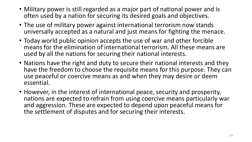- Military power is still regarded as a major part of national power and is often used by a nation for securing its desired goals and objectives.
- The use of military power against international terrorism now stands universally accepted as a natural and just means for fighting the menace.
- Today world public opinion accepts the use of war and other forcible means for the elimination of international terrorism. All these means are used by all the nations for securing their national interests.
- Nations have the right and duty to secure their national interests and they have the freedom to choose the requisite means for this purpose. They can use peaceful or coercive means as and when they may desire or deem essential.
- However, in the interest of international peace, security and prosperity, nations are expected to refrain from using coercive means particularly war and aggression. These are expected to depend upon peaceful means for the settlement of disputes and for securing their interests.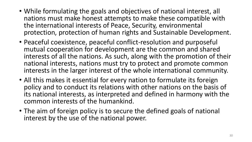- While formulating the goals and objectives of national interest, all nations must make honest attempts to make these compatible with the international interests of Peace, Security, environmental protection, protection of human rights and Sustainable Development.
- Peaceful coexistence, peaceful conflict-resolution and purposeful mutual cooperation for development are the common and shared interests of all the nations. As such, along with the promotion of their national interests, nations must try to protect and promote common interests in the larger interest of the whole international community.
- All this makes it essential for every nation to formulate its foreign policy and to conduct its relations with other nations on the basis of its national interests, as interpreted and defined in harmony with the common interests of the humankind.
- The aim of foreign policy is to secure the defined goals of national interest by the use of the national power.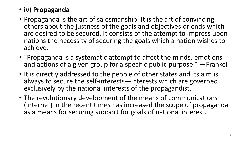## • **iv) Propaganda**

- Propaganda is the art of salesmanship. It is the art of convincing others about the justness of the goals and objectives or ends which are desired to be secured. It consists of the attempt to impress upon nations the necessity of securing the goals which a nation wishes to achieve.
- "Propaganda is a systematic attempt to affect the minds, emotions and actions of a given group for a specific public purpose." —Frankel
- It is directly addressed to the people of other states and its aim is always to secure the self-interests—interests which are governed exclusively by the national interests of the propagandist.
- The revolutionary development of the means of communications (Internet) in the recent times has increased the scope of propaganda as a means for securing support for goals of national interest.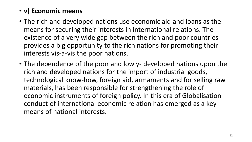## • **v) Economic means**

- The rich and developed nations use economic aid and loans as the means for securing their interests in international relations. The existence of a very wide gap between the rich and poor countries provides a big opportunity to the rich nations for promoting their interests vis-a-vis the poor nations.
- The dependence of the poor and lowly- developed nations upon the rich and developed nations for the import of industrial goods, technological know-how, foreign aid, armaments and for selling raw materials, has been responsible for strengthening the role of economic instruments of foreign policy. In this era of Globalisation conduct of international economic relation has emerged as a key means of national interests.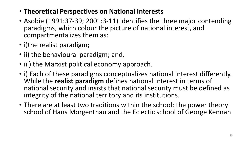- **Theoretical Perspectives on National Interests**
- Asobie (1991:37-39; 2001:3-11) identifies the three major contending paradigms, which colour the picture of national interest, and compartmentalizes them as:
- i)the realist paradigm;
- ii) the behavioural paradigm; and,
- iii) the Marxist political economy approach.
- i) Each of these paradigms conceptualizes national interest differently. While the **realist paradigm** defines national interest in terms of national security and insists that national security must be defined as integrity of the national territory and its institutions.
- There are at least two traditions within the school: the power theory school of Hans Morgenthau and the Eclectic school of George Kennan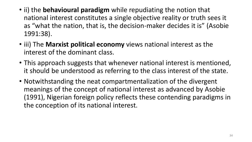- ii) the **behavioural paradigm** while repudiating the notion that national interest constitutes a single objective reality or truth sees it as "what the nation, that is, the decision-maker decides it is" (Asobie 1991:38).
- iii) The **Marxist political economy** views national interest as the interest of the dominant class.
- This approach suggests that whenever national interest is mentioned, it should be understood as referring to the class interest of the state.
- Notwithstanding the neat compartmentalization of the divergent meanings of the concept of national interest as advanced by Asobie (1991), Nigerian foreign policy reflects these contending paradigms in the conception of its national interest.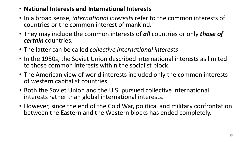- **National Interests and International Interests**
- In a broad sense, *international interests* refer to the common interests of countries or the common interest of mankind.
- They may include the common interests of *all* countries or only *those of certain* countries.
- The latter can be called *collective international interests*.
- In the 1950s, the Soviet Union described international interests as limited to those common interests within the socialist block.
- The American view of world interests included only the common interests of western capitalist countries.
- Both the Soviet Union and the U.S. pursued collective international interests rather than global international interests.
- However, since the end of the Cold War, political and military confrontation between the Eastern and the Western blocks has ended completely.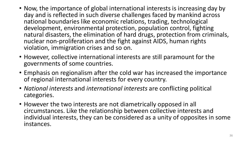- Now, the importance of global international interests is increasing day by day and is reflected in such diverse challenges faced by mankind across national boundaries like economic relations, trading, technological development, environmental protection, population control, fighting natural disasters, the elimination of hard drugs, protection from criminals, nuclear non-proliferation and the fight against AIDS, human rights violation, immigration crises and so on.
- However, collective international interests are still paramount for the governments of some countries.
- Emphasis on regionalism after the cold war has increased the importance of regional international interests for every country.
- *National interests* and *international interests* are conflicting political categories.
- However the two interests are not diametrically opposed in all circumstances. Like the relationship between collective interests and individual interests, they can be considered as a unity of opposites in some instances.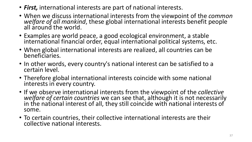- *First,* international interests are part of national interests.
- When we discuss international interests from the viewpoint of the *common*  welfare of all mankind, these global international interests benefit people all around the world.
- Examples are world peace, a good ecological environment, a stable international financial order, equal international political systems, etc.
- When global international interests are realized, all countries can be beneficiaries.
- In other words, every country's national interest can be satisfied to a certain level.
- Therefore global international interests coincide with some national interests in every country.
- If we observe international interests from the viewpoint of the *collective welfare of certain countries* we can see that, although it is not necessarily in the national interest of all, they still coincide with national interests of some.
- To certain countries, their collective international interests are their collective national interests.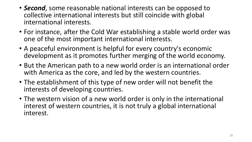- *Second*, some reasonable national interests can be opposed to collective international interests but still coincide with global international interests.
- For instance, after the Cold War establishing a stable world order was one of the most important international interests.
- A peaceful environment is helpful for every country's economic development as it promotes further merging of the world economy.
- But the American path to a new world order is an international order with America as the core, and led by the western countries.
- The establishment of this type of new order will not benefit the interests of developing countries.
- The western vision of a new world order is only in the international interest of western countries, it is not truly a global international interest.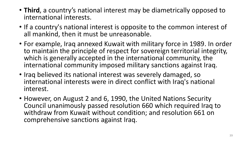- **Third**, a country's national interest may be diametrically opposed to international interests.
- If a country's national interest is opposite to the common interest of all mankind, then it must be unreasonable.
- For example, Iraq annexed Kuwait with military force in 1989. In order to maintain the principle of respect for sovereign territorial integrity, which is generally accepted in the international community, the international community imposed military sanctions against Iraq.
- Iraq believed its national interest was severely damaged, so international interests were in direct conflict with Iraq's national interest.
- However, on August 2 and 6, 1990, the United Nations Security Council unanimously passed resolution 660 which required Iraq to withdraw from Kuwait without condition; and resolution 661 on comprehensive sanctions against Iraq.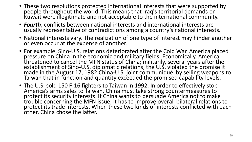- These two resolutions protected international interests that were supported by people throughout the world. This means that Iraq's territorial demands on Kuwait were illegitimate and not acceptable to the international community.
- *Fourth*, conflicts between national interests and international interests are usually representative of contradictions among a country's national interests.
- National interests vary. The realization of one type of interest may hinder another or even occur at the expense of another.
- For example, Sino-U.S. relations deteriorated after the Cold War. America placed pressure on China in the economic and military fields. Economically, America threatened to cancel the MFN status of China; militarily, several years after the establishment of Sino-U.S. diplomatic relations, the U.S. violated the promise it made in the August 17, 1982 China-U.S. joint communiqué by selling weapons to Taiwan that in function and quantity exceeded the promised capability levels.
- The U.S. sold 150 F-16 fighters to Taiwan in 1992. In order to effectively stop America's arms sales to Taiwan, China must take strong countermeasures to protect its security interests. If China wants to persuade America not to make trouble concerning the MFN issue, it has to improve overall bilateral relations to protect its trade interests. When these two kinds of interests conflicted with each other, China chose the latter.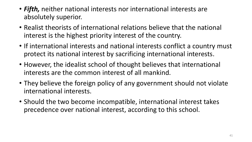- *Fifth,* neither national interests nor international interests are absolutely superior.
- Realist theorists of international relations believe that the national interest is the highest priority interest of the country.
- If international interests and national interests conflict a country must protect its national interest by sacrificing international interests.
- However, the idealist school of thought believes that international interests are the common interest of all mankind.
- They believe the foreign policy of any government should not violate international interests.
- Should the two become incompatible, international interest takes precedence over national interest, according to this school.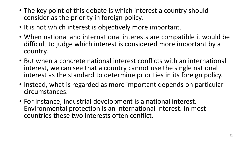- The key point of this debate is which interest a country should consider as the priority in foreign policy.
- It is not which interest is objectively more important.
- When national and international interests are compatible it would be difficult to judge which interest is considered more important by a country.
- But when a concrete national interest conflicts with an international interest, we can see that a country cannot use the single national interest as the standard to determine priorities in its foreign policy.
- Instead, what is regarded as more important depends on particular circumstances.
- For instance, industrial development is a national interest. Environmental protection is an international interest. In most countries these two interests often conflict.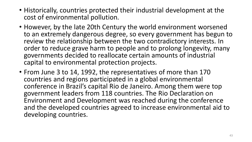- Historically, countries protected their industrial development at the cost of environmental pollution.
- However, by the late 20th Century the world environment worsened to an extremely dangerous degree, so every government has begun to review the relationship between the two contradictory interests. In order to reduce grave harm to people and to prolong longevity, many governments decided to reallocate certain amounts of industrial capital to environmental protection projects.
- From June 3 to 14, 1992, the representatives of more than 170 countries and regions participated in a global environmental conference in Brazil's capital Rio de Janeiro. Among them were top government leaders from 118 countries. The Rio Declaration on Environment and Development was reached during the conference and the developed countries agreed to increase environmental aid to developing countries.